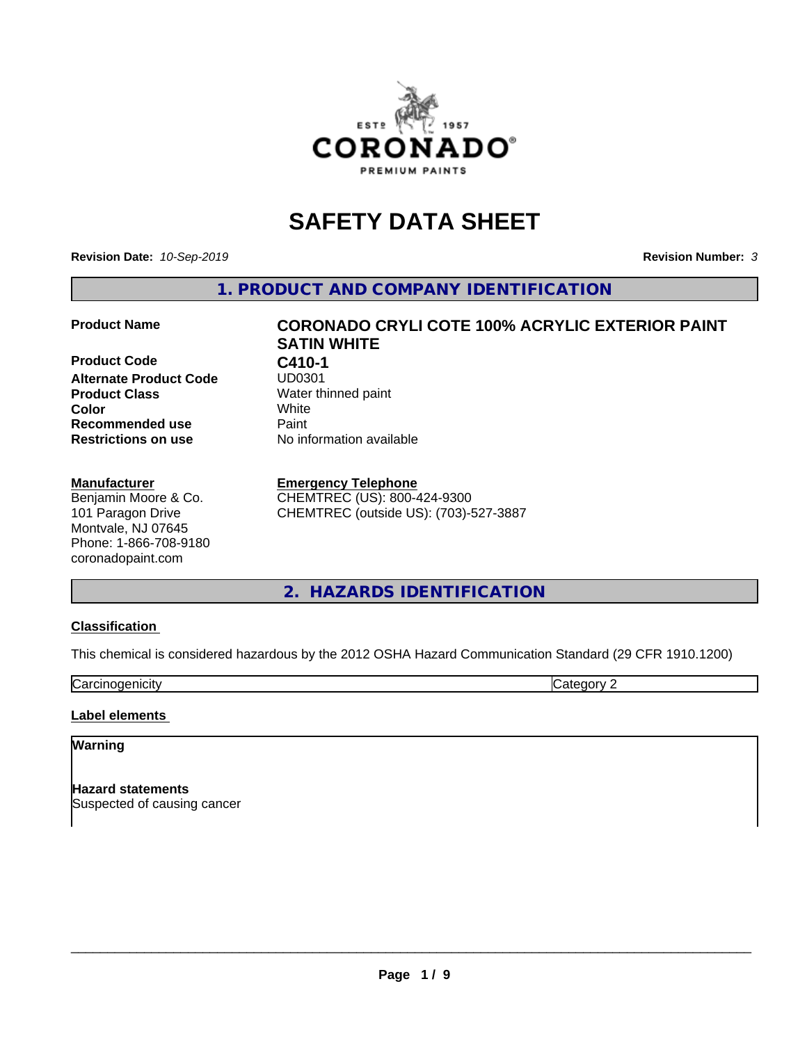

# **SAFETY DATA SHEET**

**Revision Date:** *10-Sep-2019* **Revision Number:** *3*

**1. PRODUCT AND COMPANY IDENTIFICATION**

**Product Code C410-1 Alternate Product Code Product Class** Water thinned paint<br> **Color** White **Color** White **Recommended use Caint Restrictions on use** No information available

#### **Manufacturer**

Benjamin Moore & Co. 101 Paragon Drive Montvale, NJ 07645 Phone: 1-866-708-9180 coronadopaint.com

# **Product Name CORONADO CRYLI COTE 100% ACRYLIC EXTERIOR PAINT SATIN WHITE**

#### **Emergency Telephone**

CHEMTREC (US): 800-424-9300 CHEMTREC (outside US): (703)-527-3887

# **2. HAZARDS IDENTIFICATION**

#### **Classification**

This chemical is considered hazardous by the 2012 OSHA Hazard Communication Standard (29 CFR 1910.1200)

**Carcinogenicity** Category 2

#### **Label elements**

#### **Warning**

**Hazard statements** Suspected of causing cancer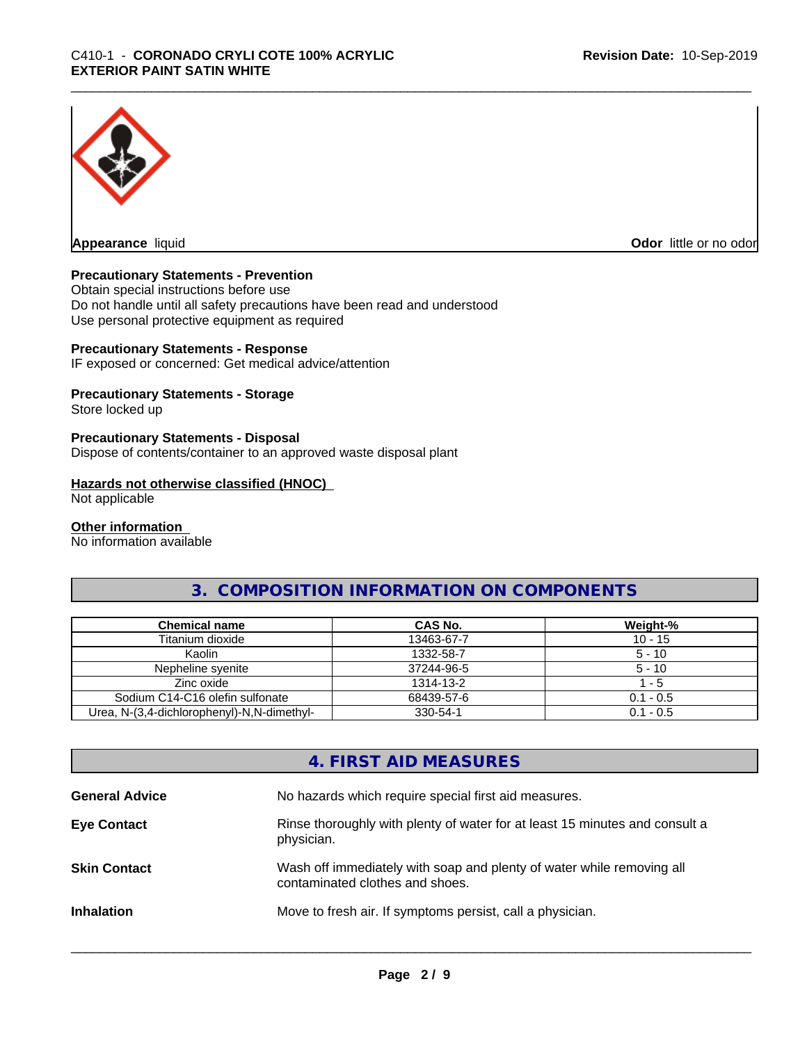

**Appearance** liquid

**Odor** little or no odor

#### **Precautionary Statements - Prevention**

Obtain special instructions before use Do not handle until all safety precautions have been read and understood Use personal protective equipment as required

#### **Precautionary Statements - Response**

IF exposed or concerned: Get medical advice/attention

#### **Precautionary Statements - Storage**

Store locked up

#### **Precautionary Statements - Disposal**

Dispose of contents/container to an approved waste disposal plant

#### **Hazards not otherwise classified (HNOC)**

Not applicable

#### **Other information**

No information available

# **3. COMPOSITION INFORMATION ON COMPONENTS**

| <b>Chemical name</b>                       | CAS No.    | Weight-%    |
|--------------------------------------------|------------|-------------|
| Titanium dioxide                           | 13463-67-7 | $10 - 15$   |
| Kaolin                                     | 1332-58-7  | $5 - 10$    |
| Nepheline svenite                          | 37244-96-5 | $5 - 10$    |
| Zinc oxide                                 | 1314-13-2  | - 5         |
| Sodium C14-C16 olefin sulfonate            | 68439-57-6 | $0.1 - 0.5$ |
| Urea, N-(3,4-dichlorophenyl)-N,N-dimethyl- | 330-54-1   | $0.1 - 0.5$ |

# **4. FIRST AID MEASURES**

| <b>General Advice</b> | No hazards which require special first aid measures.                                                     |
|-----------------------|----------------------------------------------------------------------------------------------------------|
| <b>Eye Contact</b>    | Rinse thoroughly with plenty of water for at least 15 minutes and consult a<br>physician.                |
| <b>Skin Contact</b>   | Wash off immediately with soap and plenty of water while removing all<br>contaminated clothes and shoes. |
| <b>Inhalation</b>     | Move to fresh air. If symptoms persist, call a physician.                                                |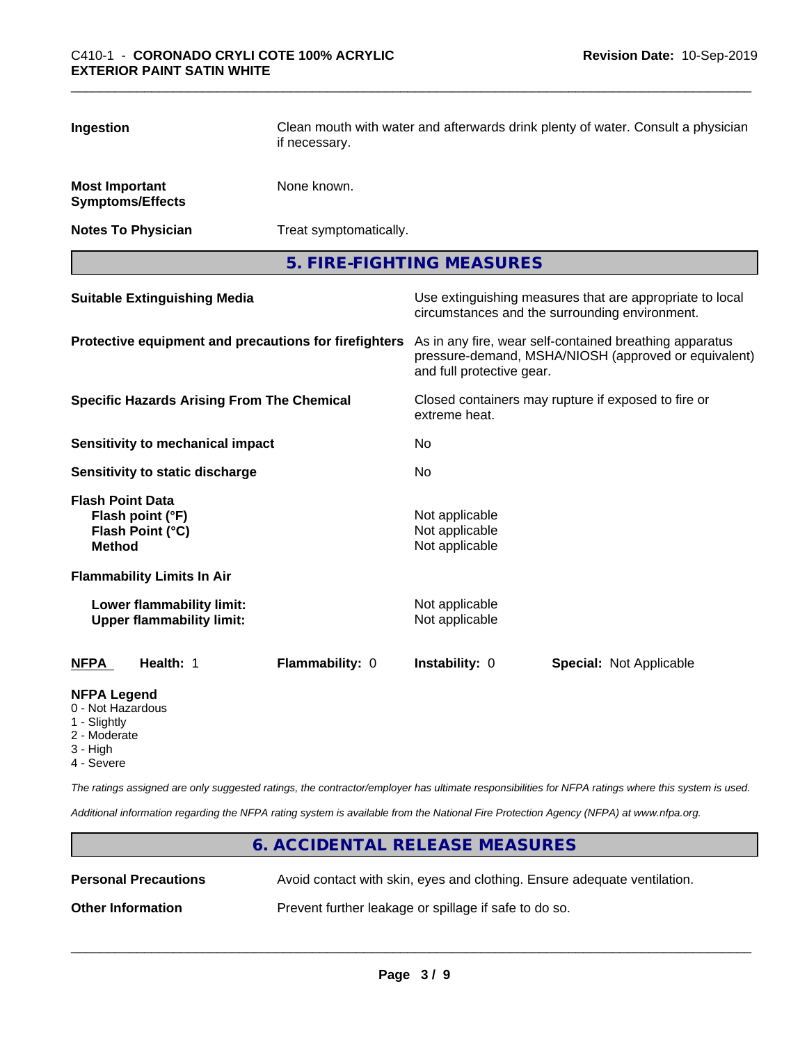| Ingestion                                        |                                                               | if necessary.                                         | Clean mouth with water and afterwards drink plenty of water. Consult a physician                                                             |                                |  |
|--------------------------------------------------|---------------------------------------------------------------|-------------------------------------------------------|----------------------------------------------------------------------------------------------------------------------------------------------|--------------------------------|--|
| <b>Most Important</b><br><b>Symptoms/Effects</b> |                                                               | None known.                                           |                                                                                                                                              |                                |  |
| <b>Notes To Physician</b>                        |                                                               | Treat symptomatically.                                |                                                                                                                                              |                                |  |
|                                                  |                                                               |                                                       | 5. FIRE-FIGHTING MEASURES                                                                                                                    |                                |  |
|                                                  | <b>Suitable Extinguishing Media</b>                           |                                                       | Use extinguishing measures that are appropriate to local<br>circumstances and the surrounding environment.                                   |                                |  |
|                                                  |                                                               | Protective equipment and precautions for firefighters | As in any fire, wear self-contained breathing apparatus<br>pressure-demand, MSHA/NIOSH (approved or equivalent)<br>and full protective gear. |                                |  |
|                                                  | <b>Specific Hazards Arising From The Chemical</b>             |                                                       | Closed containers may rupture if exposed to fire or<br>extreme heat.                                                                         |                                |  |
|                                                  | <b>Sensitivity to mechanical impact</b>                       |                                                       | No                                                                                                                                           |                                |  |
|                                                  | <b>Sensitivity to static discharge</b>                        |                                                       | No                                                                                                                                           |                                |  |
| <b>Flash Point Data</b><br><b>Method</b>         | Flash point (°F)<br>Flash Point (°C)                          |                                                       | Not applicable<br>Not applicable<br>Not applicable                                                                                           |                                |  |
|                                                  | <b>Flammability Limits In Air</b>                             |                                                       |                                                                                                                                              |                                |  |
|                                                  | Lower flammability limit:<br><b>Upper flammability limit:</b> |                                                       | Not applicable<br>Not applicable                                                                                                             |                                |  |
| <b>NFPA</b>                                      | Health: 1                                                     | Flammability: 0                                       | Instability: 0                                                                                                                               | <b>Special: Not Applicable</b> |  |
| <b>NFPA Legend</b>                               |                                                               |                                                       |                                                                                                                                              |                                |  |

# 0 - Not Hazardous

- 
- 1 Slightly
- 2 Moderate
- 3 High
- 4 Severe

*The ratings assigned are only suggested ratings, the contractor/employer has ultimate responsibilities for NFPA ratings where this system is used.*

*Additional information regarding the NFPA rating system is available from the National Fire Protection Agency (NFPA) at www.nfpa.org.*

# **6. ACCIDENTAL RELEASE MEASURES Personal Precautions** Avoid contact with skin, eyes and clothing. Ensure adequate ventilation. **Other Information** Prevent further leakage or spillage if safe to do so.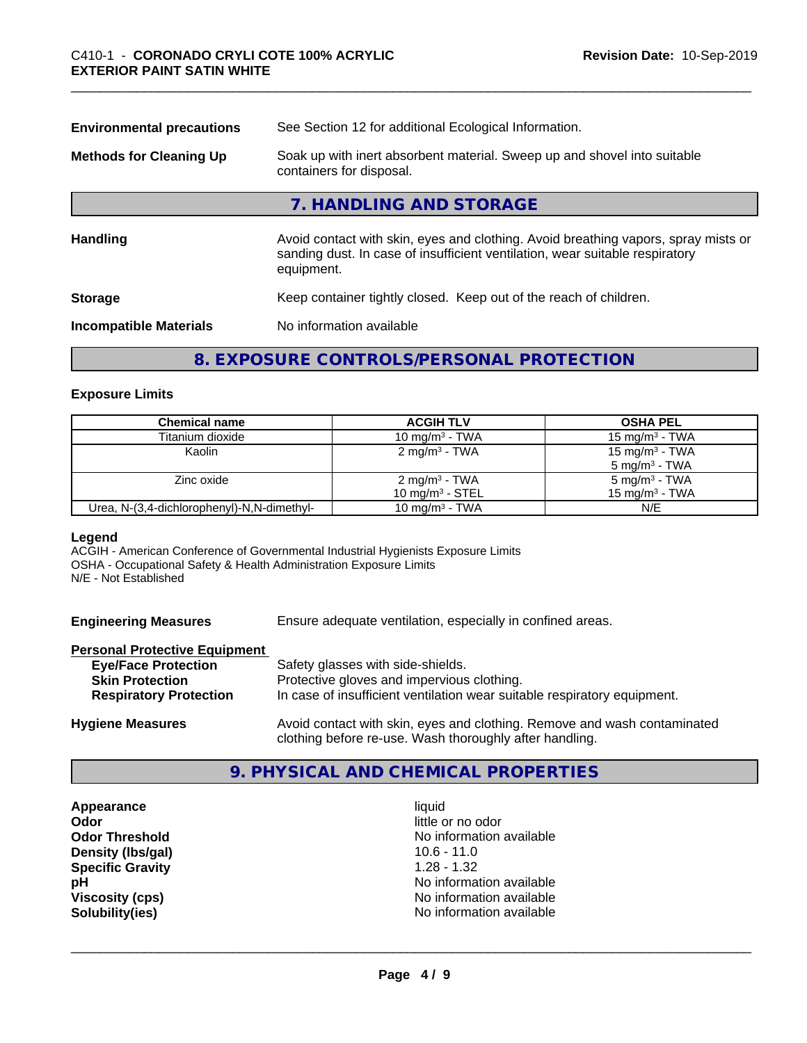| <b>Environmental precautions</b> | See Section 12 for additional Ecological Information.                                                                                                                            |
|----------------------------------|----------------------------------------------------------------------------------------------------------------------------------------------------------------------------------|
| <b>Methods for Cleaning Up</b>   | Soak up with inert absorbent material. Sweep up and shovel into suitable<br>containers for disposal.                                                                             |
|                                  | 7. HANDLING AND STORAGE                                                                                                                                                          |
| <b>Handling</b>                  | Avoid contact with skin, eyes and clothing. Avoid breathing vapors, spray mists or<br>sanding dust. In case of insufficient ventilation, wear suitable respiratory<br>equipment. |
| <b>Storage</b>                   | Keep container tightly closed. Keep out of the reach of children.                                                                                                                |
| <b>Incompatible Materials</b>    | No information available                                                                                                                                                         |
|                                  |                                                                                                                                                                                  |

# **8. EXPOSURE CONTROLS/PERSONAL PROTECTION**

#### **Exposure Limits**

| <b>Chemical name</b>                       | <b>ACGIH TLV</b>          | <b>OSHA PEL</b>            |
|--------------------------------------------|---------------------------|----------------------------|
| Titanium dioxide                           | 10 mg/m $3$ - TWA         | 15 mg/m $3$ - TWA          |
| Kaolin                                     | 2 mg/m <sup>3</sup> - TWA | 15 mg/m <sup>3</sup> - TWA |
|                                            |                           | $5 \text{ mg/m}^3$ - TWA   |
| Zinc oxide                                 | 2 mg/m <sup>3</sup> - TWA | 5 mg/m <sup>3</sup> - TWA  |
|                                            | 10 mg/m $3$ - STEL        | $15 \text{ mg/m}^3$ - TWA  |
| Urea, N-(3,4-dichlorophenyl)-N,N-dimethyl- | 10 mg/m $3$ - TWA         | N/E                        |

#### **Legend**

ACGIH - American Conference of Governmental Industrial Hygienists Exposure Limits OSHA - Occupational Safety & Health Administration Exposure Limits N/E - Not Established

| <b>Engineering Measures</b> | Ensure adequate ventilation, especially in confined areas. |  |
|-----------------------------|------------------------------------------------------------|--|
|-----------------------------|------------------------------------------------------------|--|

#### **Personal Protective Equipment**

| <b>Eye/Face Protection</b>    | Safety glasses with side-shields.                                        |
|-------------------------------|--------------------------------------------------------------------------|
| <b>Skin Protection</b>        | Protective gloves and impervious clothing.                               |
| <b>Respiratory Protection</b> | In case of insufficient ventilation wear suitable respiratory equipment. |
| .                             |                                                                          |

**Hygiene Measures** Avoid contact with skin, eyes and clothing. Remove and wash contaminated clothing before re-use. Wash thoroughly after handling.

### **9. PHYSICAL AND CHEMICAL PROPERTIES**

**Appearance** liquid **Odor Density (lbs/gal)** 10.6 - 11.0<br> **Specific Gravity** 1.28 - 1.32 **Specific Gravity** 

little or no odor **Odor Threshold** No information available **pH pH**  $\blacksquare$ **Viscosity (cps)** <br> **Viscosity (cps)** <br> **Solubility(ies)** <br> **Solubility(ies)** <br> **No** information available **Solubility(ies)** No information available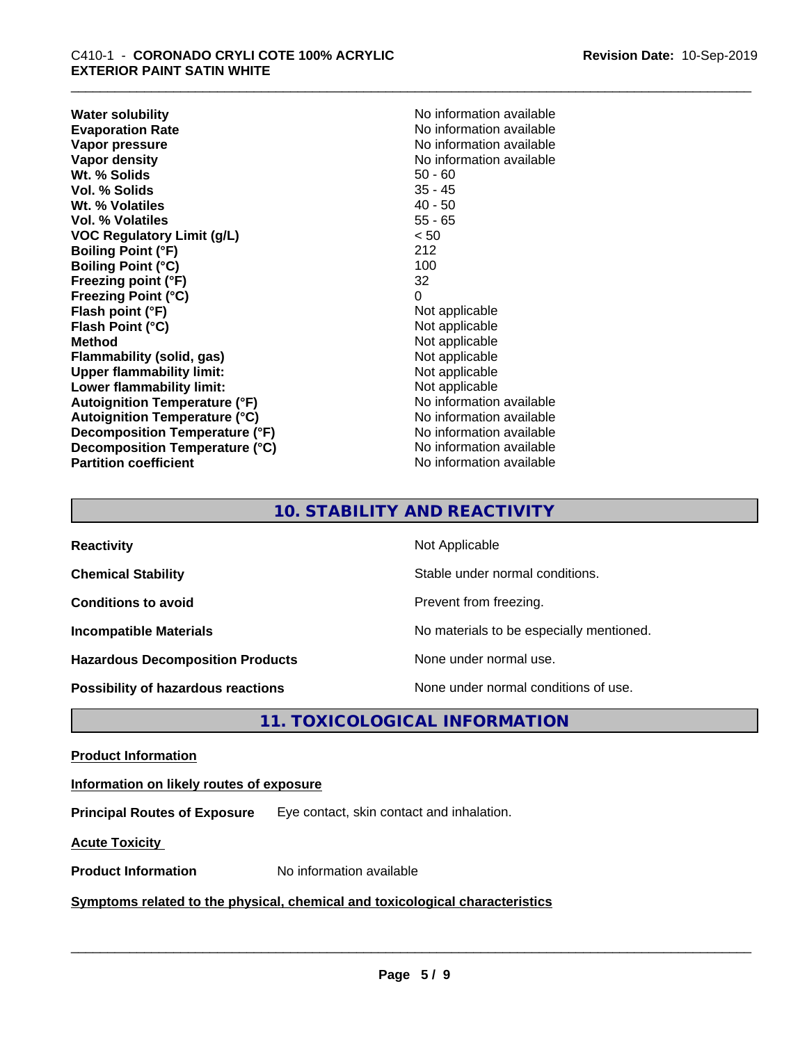**Water solubility**<br> **Evaporation Rate**<br> **Evaporation Rate**<br> **Evaporation Rate Evaporation Rate Evaporation Rate** No information available<br> **Vapor pressure** No information available **Vapor density**<br> **We Solids**<br>
We Solid With the Solid Solid Solid Solid Solid Solid Solid Solid Solid Solid Solid Solid Solid Solid Solid Solid Solid Solid Solid Solid Solid Solid Solid Solid Solid Solid Solid Solid Solid **Wt. % Solids** 50 - 60<br> **Vol. % Solids** 35 - 45 **Vol. % Solids Wt. % Volatiles** 40 - 50 **Vol. % Volatiles** 55 - 65 **VOC Regulatory Limit (g/L)** < 50 **Boiling Point (°F)** 212 **Boiling Point (°C)** 100 **Freezing point (°F)** 32 **Freezing Point (°C)** 0<br> **Flash point (°F)** 0<br>
Not applicable **Flash point (°F)** Not applicable **Flash Point (°C) Method**<br> **Flammability (solid, gas)**<br> **Example 2018** Not applicable **Flammability** (solid, gas) **Upper flammability limit:** Not applicable **Lower flammability limit:**<br> **Autoignition Temperature (°F)** Not applicable Not applicable **Autoignition Temperature (°F) Autoignition Temperature (°C)** No information available **Decomposition Temperature (°F)** No information available **Decomposition Temperature (°C)** No information available **Partition coefficient** No information available

**No information available** 

# **10. STABILITY AND REACTIVITY**

| <b>Reactivity</b>                       | Not Applicable                           |
|-----------------------------------------|------------------------------------------|
| <b>Chemical Stability</b>               | Stable under normal conditions.          |
| <b>Conditions to avoid</b>              | Prevent from freezing.                   |
| <b>Incompatible Materials</b>           | No materials to be especially mentioned. |
| <b>Hazardous Decomposition Products</b> | None under normal use.                   |
| Possibility of hazardous reactions      | None under normal conditions of use.     |

# **11. TOXICOLOGICAL INFORMATION**

#### **Product Information**

#### **Information on likely routes of exposure**

**Principal Routes of Exposure** Eye contact, skin contact and inhalation.

**Acute Toxicity** 

**Product Information** No information available

#### **Symptoms related to the physical,chemical and toxicological characteristics**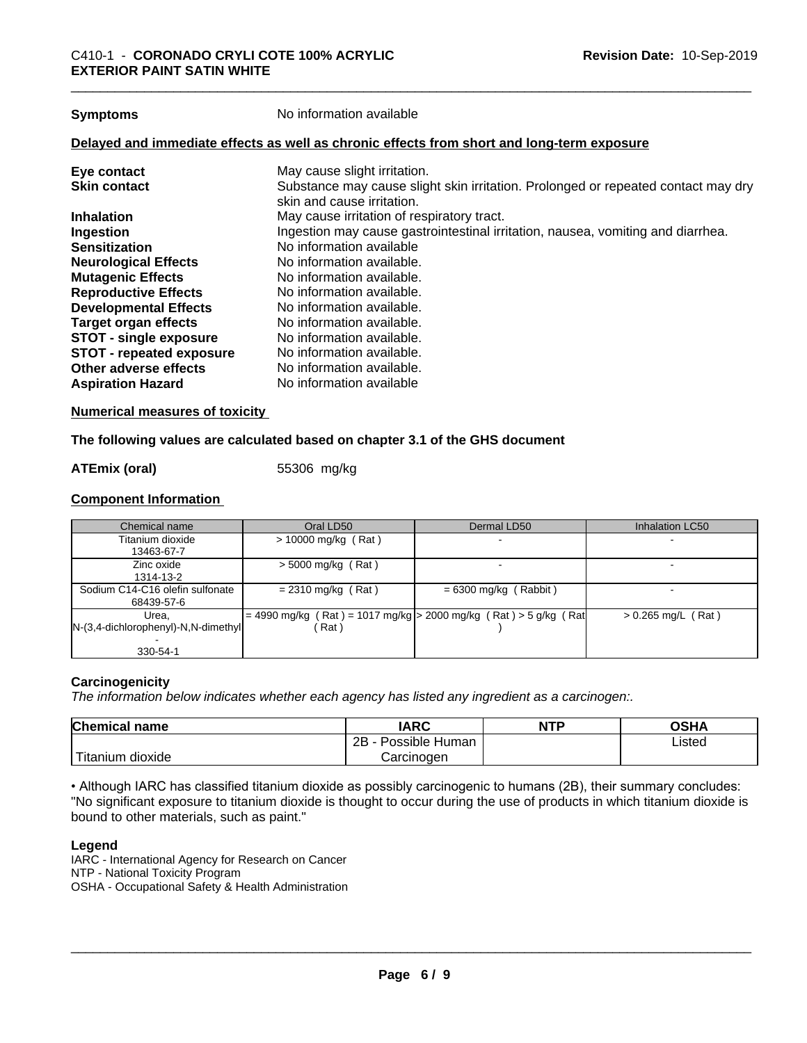**Symptoms** No information available

#### **Delayed and immediate effects as well as chronic effects from short and long-term exposure**

| Eye contact                     | May cause slight irritation.                                                      |
|---------------------------------|-----------------------------------------------------------------------------------|
| <b>Skin contact</b>             | Substance may cause slight skin irritation. Prolonged or repeated contact may dry |
|                                 | skin and cause irritation.                                                        |
| <b>Inhalation</b>               | May cause irritation of respiratory tract.                                        |
| Ingestion                       | Ingestion may cause gastrointestinal irritation, nausea, vomiting and diarrhea.   |
| <b>Sensitization</b>            | No information available                                                          |
| <b>Neurological Effects</b>     | No information available.                                                         |
| <b>Mutagenic Effects</b>        | No information available.                                                         |
| <b>Reproductive Effects</b>     | No information available.                                                         |
| <b>Developmental Effects</b>    | No information available.                                                         |
| Target organ effects            | No information available.                                                         |
| <b>STOT - single exposure</b>   | No information available.                                                         |
| <b>STOT - repeated exposure</b> | No information available.                                                         |
| Other adverse effects           | No information available.                                                         |
| <b>Aspiration Hazard</b>        | No information available                                                          |

#### **Numerical measures of toxicity**

#### **The following values are calculated based on chapter 3.1 of the GHS document**

#### **ATEmix (oral)** 55306 mg/kg

#### **Component Information**

| Chemical name                            | Oral LD50             | Dermal LD50                                                           | Inhalation LC50      |
|------------------------------------------|-----------------------|-----------------------------------------------------------------------|----------------------|
| Titanium dioxide                         | $> 10000$ mg/kg (Rat) |                                                                       |                      |
| 13463-67-7                               |                       |                                                                       |                      |
| Zinc oxide                               | $>$ 5000 mg/kg (Rat)  |                                                                       |                      |
| 1314-13-2                                |                       |                                                                       |                      |
| Sodium C14-C16 olefin sulfonate          | $= 2310$ mg/kg (Rat)  | $= 6300$ mg/kg (Rabbit)                                               |                      |
| 68439-57-6                               |                       |                                                                       |                      |
| Urea.                                    |                       | $= 4990$ mg/kg (Rat) = 1017 mg/kg $> 2000$ mg/kg (Rat) > 5 g/kg (Rat) | $> 0.265$ mg/L (Rat) |
| $[N-(3,4-dichloropheny) - N,N-dimethyl]$ | (Rat)                 |                                                                       |                      |
|                                          |                       |                                                                       |                      |
| 330-54-1                                 |                       |                                                                       |                      |

#### **Carcinogenicity**

*The information below indicateswhether each agency has listed any ingredient as a carcinogen:.*

| Chemical<br>name                                                                                                                                | <b>IARC</b>               | <b>NTP</b> | <b>OSHA</b> |
|-------------------------------------------------------------------------------------------------------------------------------------------------|---------------------------|------------|-------------|
|                                                                                                                                                 | .<br>2B<br>Possible Human |            | Listed      |
| <b>The Contract of the Contract of the Contract of the Contract of the Contract of the Contract of the Contract o</b><br>m dioxide<br>l itanıum | Carcinoɑen                |            |             |

• Although IARC has classified titanium dioxide as possibly carcinogenic to humans (2B), their summary concludes: "No significant exposure to titanium dioxide is thought to occur during the use of products in which titanium dioxide is bound to other materials, such as paint."

#### **Legend**

IARC - International Agency for Research on Cancer NTP - National Toxicity Program OSHA - Occupational Safety & Health Administration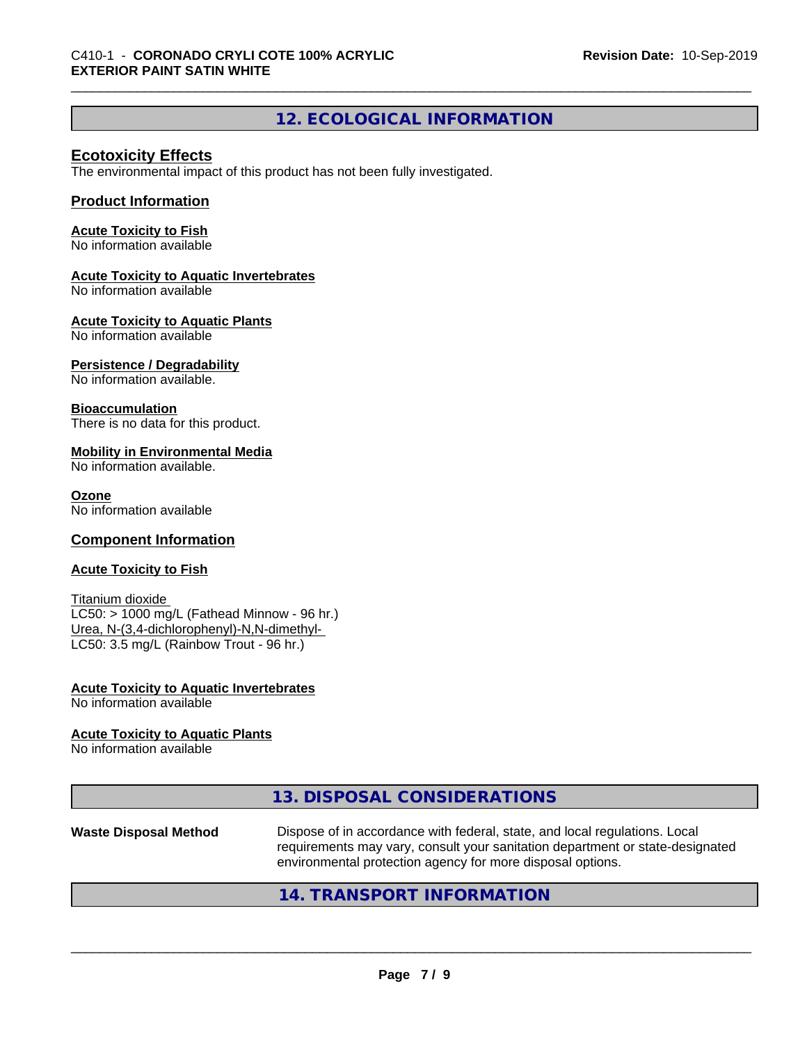# **12. ECOLOGICAL INFORMATION**

#### **Ecotoxicity Effects**

The environmental impact of this product has not been fully investigated.

#### **Product Information**

#### **Acute Toxicity to Fish**

No information available

#### **Acute Toxicity to Aquatic Invertebrates**

No information available

#### **Acute Toxicity to Aquatic Plants**

No information available

#### **Persistence / Degradability**

No information available.

#### **Bioaccumulation**

There is no data for this product.

#### **Mobility in Environmental Media**

No information available.

#### **Ozone**

No information available

#### **Component Information**

#### **Acute Toxicity to Fish**

Titanium dioxide  $LC50:$  > 1000 mg/L (Fathead Minnow - 96 hr.) Urea, N-(3,4-dichlorophenyl)-N,N-dimethyl- LC50: 3.5 mg/L (Rainbow Trout - 96 hr.)

#### **Acute Toxicity to Aquatic Invertebrates** No information available

#### **Acute Toxicity to Aquatic Plants**

No information available

|--|

# **Waste Disposal Method** Dispose of in accordance with federal, state, and local regulations. Local requirements may vary, consult your sanitation department or state-designated environmental protection agency for more disposal options.

## **14. TRANSPORT INFORMATION**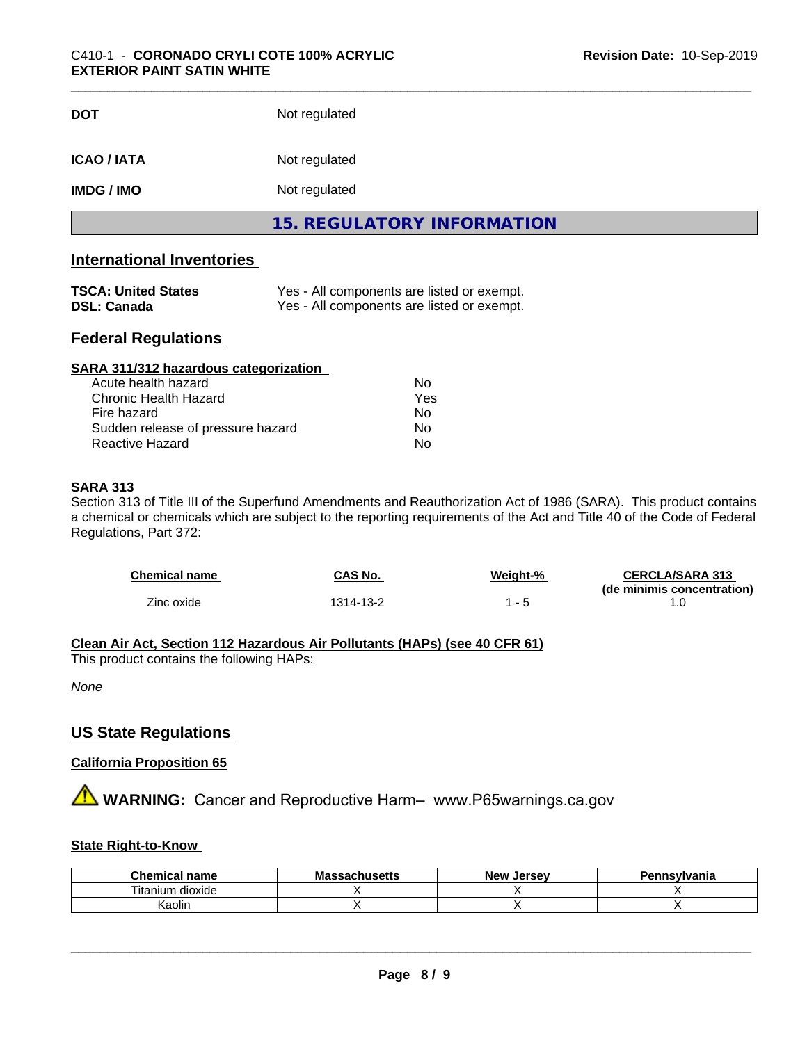| <b>DOT</b>         | Not regulated                     |  |
|--------------------|-----------------------------------|--|
| <b>ICAO / IATA</b> | Not regulated                     |  |
| <b>IMDG / IMO</b>  | Not regulated                     |  |
|                    | <b>15. REGULATORY INFORMATION</b> |  |

# **International Inventories**

| <b>TSCA: United States</b> | Yes - All components are listed or exempt. |
|----------------------------|--------------------------------------------|
| DSL: Canada                | Yes - All components are listed or exempt. |

### **Federal Regulations**

| SARA 311/312 hazardous categorization |     |  |
|---------------------------------------|-----|--|
| Acute health hazard                   | Nο  |  |
| Chronic Health Hazard                 | Yes |  |
| Fire hazard                           | Nο  |  |
| Sudden release of pressure hazard     | Nο  |  |
| Reactive Hazard                       | No  |  |

### **SARA 313**

Section 313 of Title III of the Superfund Amendments and Reauthorization Act of 1986 (SARA). This product contains a chemical or chemicals which are subject to the reporting requirements of the Act and Title 40 of the Code of Federal Regulations, Part 372:

| Chemical name | CAS No.  | Weight-% | <b>CERCLA/SARA 313</b><br>(de minimis concentration) |
|---------------|----------|----------|------------------------------------------------------|
| Zinc oxide    | 314-13-2 | - 5      |                                                      |

### **Clean Air Act,Section 112 Hazardous Air Pollutants (HAPs) (see 40 CFR 61)**

This product contains the following HAPs:

*None*

# **US State Regulations**

#### **California Proposition 65**

**A** WARNING: Cancer and Reproductive Harm– www.P65warnings.ca.gov

#### **State Right-to-Know**

| <b>Chemical name</b>               | ssachusetts<br>mas<br>$\sim$ | . Jersev<br><b>New</b> | ennsvlvania |
|------------------------------------|------------------------------|------------------------|-------------|
| . .<br>l itanium<br><b>dioxide</b> |                              |                        |             |
| .<br>Kaolin                        |                              |                        |             |